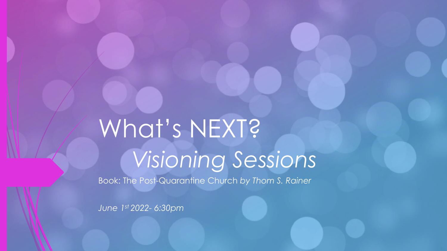# What's NEXT? *Visioning Sessions*

Book: The Post-Quarantine Church *by Thom S. Rainer*

*June 1st 2022- 6:30pm*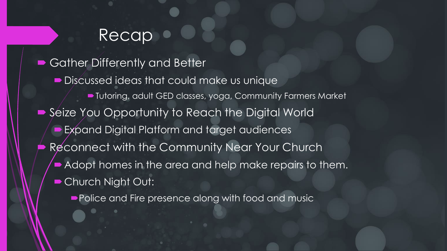#### Recap

 Gather Differently and Better Discussed ideas that could make us unique Tutoring, adult GED classes, yoga, Community Farmers Market ■ Seize You Opportunity to Reach the Digital World Expand Digital Platform and target audiences Reconnect with the Community Near Your Church Adopt homes in the area and help make repairs to them. Church Night Out:

**Police and Fire presence along with food and music**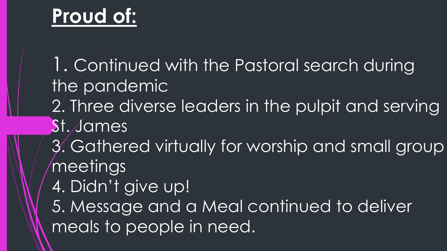### **Proud of:**

1. Continued with the Pastoral search during the pandemic 2. Three diverse leaders in the pulpit and serving St. James 3. Gathered virtually for worship and small group meetings 4. Didn't give up! 5. Message and a Meal continued to deliver meals to people in need.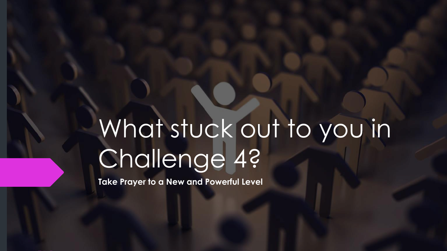# What stuck out to you in Challenge 4?

**Take Prayer to a New and Powerful Level**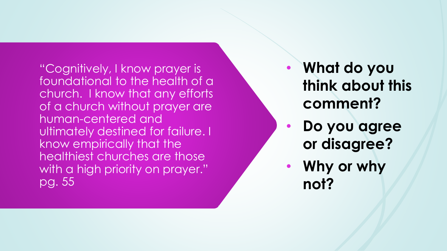"Cognitively, I know prayer is foundational to the health of a church. I know that any efforts of a church without prayer are human -centered and ultimately destined for failure. I know empirically that the healthiest churches are those with a high priority on prayer." pg. 55

- **What do you think about this comment?**
- **Do you agree or disagree?**
- **Why or why not?**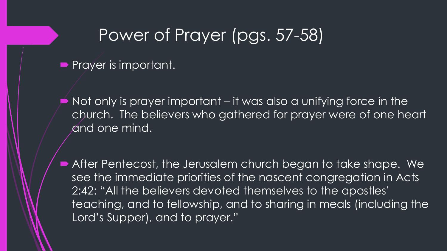#### Power of Prayer (pgs. 57-58)

**Prayer is important.** 

 Not only is prayer important – it was also a unifying force in the church. The believers who gathered for prayer were of one heart and one mind.

 After Pentecost, the Jerusalem church began to take shape. We see the immediate priorities of the nascent congregation in Acts 2:42: "All the believers devoted themselves to the apostles' teaching, and to fellowship, and to sharing in meals (including the Lord's Supper), and to prayer."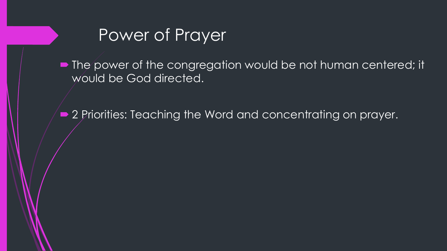

• The power of the congregation would be not human centered; it would be God directed.

■ 2 Priorities: Teaching the Word and concentrating on prayer.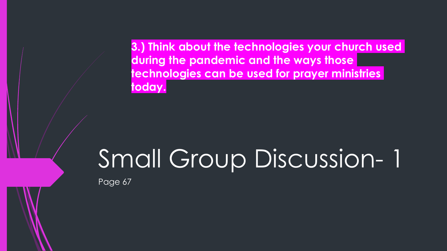**3.) Think about the technologies your church used during the pandemic and the ways those technologies can be used for prayer ministries today.**

## Small Group Discussion- 1

Page 67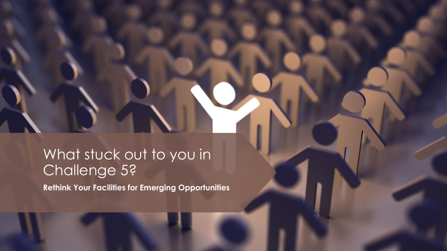#### What stuck out to you in Challenge 5?

**Rethink Your Facilities for Emerging Opportunities**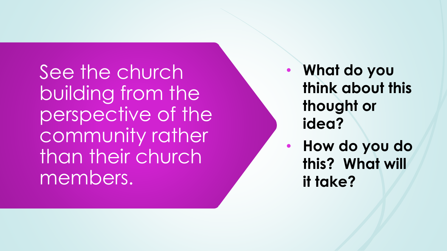See the church building from the perspective of the community rather than their church members.

- **What do you think about this thought or idea?**
- **How do you do this? What will it take?**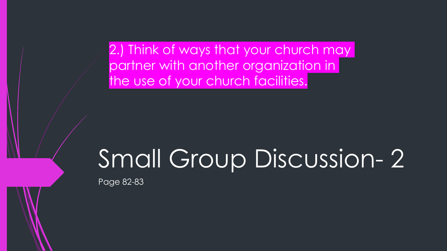2.) Think of ways that your church may partner with another organization in the use of your church facilities.

### Small Group Discussion- 2

Page 82-83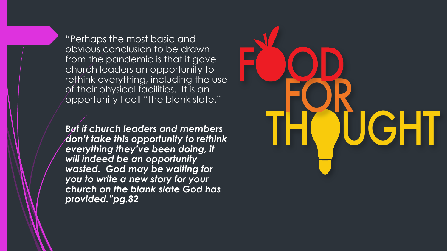"Perhaps the most basic and obvious conclusion to be drawn from the pandemic is that it gave church leaders an opportunity to rethink everything, including the use of their physical facilities. It is an opportunity I call "the blank slate."

*But if church leaders and members don't take this opportunity to rethink everything they've been doing, it will indeed be an opportunity wasted. God may be waiting for you to write a new story for your church on the blank slate God has provided."pg.82*